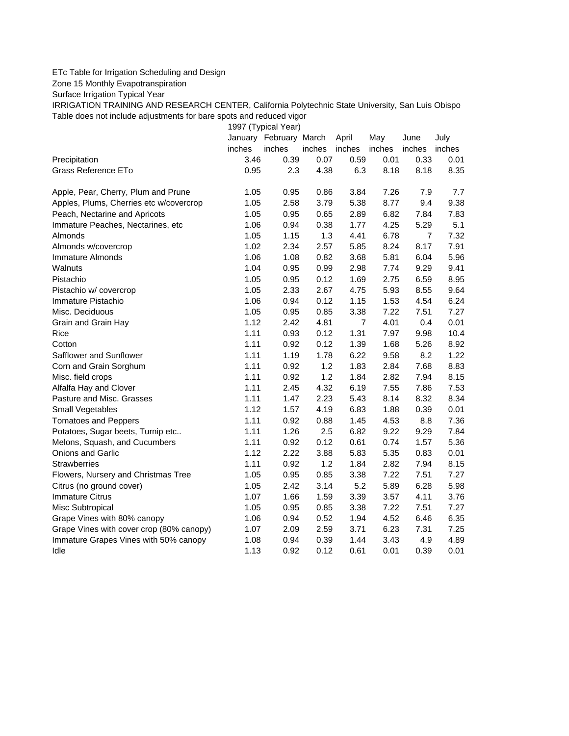## ETc Table for Irrigation Scheduling and Design

Zone 15 Monthly Evapotranspiration

Surface Irrigation Typical Year

IRRIGATION TRAINING AND RESEARCH CENTER, California Polytechnic State University, San Luis Obispo Table does not include adjustments for bare spots and reduced vigor

1997 (Typical Year)

|                                          |        | January February March |        | April          | May    | June           | July   |
|------------------------------------------|--------|------------------------|--------|----------------|--------|----------------|--------|
|                                          | inches | inches                 | inches | inches         | inches | inches         | inches |
| Precipitation                            | 3.46   | 0.39                   | 0.07   | 0.59           | 0.01   | 0.33           | 0.01   |
| Grass Reference ETo                      | 0.95   | 2.3                    | 4.38   | 6.3            | 8.18   | 8.18           | 8.35   |
| Apple, Pear, Cherry, Plum and Prune      | 1.05   | 0.95                   | 0.86   | 3.84           | 7.26   | 7.9            | 7.7    |
| Apples, Plums, Cherries etc w/covercrop  | 1.05   | 2.58                   | 3.79   | 5.38           | 8.77   | 9.4            | 9.38   |
| Peach, Nectarine and Apricots            | 1.05   | 0.95                   | 0.65   | 2.89           | 6.82   | 7.84           | 7.83   |
| Immature Peaches, Nectarines, etc        | 1.06   | 0.94                   | 0.38   | 1.77           | 4.25   | 5.29           | 5.1    |
| Almonds                                  | 1.05   | 1.15                   | 1.3    | 4.41           | 6.78   | $\overline{7}$ | 7.32   |
| Almonds w/covercrop                      | 1.02   | 2.34                   | 2.57   | 5.85           | 8.24   | 8.17           | 7.91   |
| Immature Almonds                         | 1.06   | 1.08                   | 0.82   | 3.68           | 5.81   | 6.04           | 5.96   |
| Walnuts                                  | 1.04   | 0.95                   | 0.99   | 2.98           | 7.74   | 9.29           | 9.41   |
| Pistachio                                | 1.05   | 0.95                   | 0.12   | 1.69           | 2.75   | 6.59           | 8.95   |
| Pistachio w/ covercrop                   | 1.05   | 2.33                   | 2.67   | 4.75           | 5.93   | 8.55           | 9.64   |
| Immature Pistachio                       | 1.06   | 0.94                   | 0.12   | 1.15           | 1.53   | 4.54           | 6.24   |
| Misc. Deciduous                          | 1.05   | 0.95                   | 0.85   | 3.38           | 7.22   | 7.51           | 7.27   |
| Grain and Grain Hay                      | 1.12   | 2.42                   | 4.81   | $\overline{7}$ | 4.01   | 0.4            | 0.01   |
| <b>Rice</b>                              | 1.11   | 0.93                   | 0.12   | 1.31           | 7.97   | 9.98           | 10.4   |
| Cotton                                   | 1.11   | 0.92                   | 0.12   | 1.39           | 1.68   | 5.26           | 8.92   |
| Safflower and Sunflower                  | 1.11   | 1.19                   | 1.78   | 6.22           | 9.58   | 8.2            | 1.22   |
| Corn and Grain Sorghum                   | 1.11   | 0.92                   | 1.2    | 1.83           | 2.84   | 7.68           | 8.83   |
| Misc. field crops                        | 1.11   | 0.92                   | 1.2    | 1.84           | 2.82   | 7.94           | 8.15   |
| Alfalfa Hay and Clover                   | 1.11   | 2.45                   | 4.32   | 6.19           | 7.55   | 7.86           | 7.53   |
| Pasture and Misc. Grasses                | 1.11   | 1.47                   | 2.23   | 5.43           | 8.14   | 8.32           | 8.34   |
| Small Vegetables                         | 1.12   | 1.57                   | 4.19   | 6.83           | 1.88   | 0.39           | 0.01   |
| <b>Tomatoes and Peppers</b>              | 1.11   | 0.92                   | 0.88   | 1.45           | 4.53   | 8.8            | 7.36   |
| Potatoes, Sugar beets, Turnip etc        | 1.11   | 1.26                   | 2.5    | 6.82           | 9.22   | 9.29           | 7.84   |
| Melons, Squash, and Cucumbers            | 1.11   | 0.92                   | 0.12   | 0.61           | 0.74   | 1.57           | 5.36   |
| Onions and Garlic                        | 1.12   | 2.22                   | 3.88   | 5.83           | 5.35   | 0.83           | 0.01   |
| <b>Strawberries</b>                      | 1.11   | 0.92                   | 1.2    | 1.84           | 2.82   | 7.94           | 8.15   |
| Flowers, Nursery and Christmas Tree      | 1.05   | 0.95                   | 0.85   | 3.38           | 7.22   | 7.51           | 7.27   |
| Citrus (no ground cover)                 | 1.05   | 2.42                   | 3.14   | 5.2            | 5.89   | 6.28           | 5.98   |
| <b>Immature Citrus</b>                   | 1.07   | 1.66                   | 1.59   | 3.39           | 3.57   | 4.11           | 3.76   |
| Misc Subtropical                         | 1.05   | 0.95                   | 0.85   | 3.38           | 7.22   | 7.51           | 7.27   |
| Grape Vines with 80% canopy              | 1.06   | 0.94                   | 0.52   | 1.94           | 4.52   | 6.46           | 6.35   |
| Grape Vines with cover crop (80% canopy) | 1.07   | 2.09                   | 2.59   | 3.71           | 6.23   | 7.31           | 7.25   |
| Immature Grapes Vines with 50% canopy    | 1.08   | 0.94                   | 0.39   | 1.44           | 3.43   | 4.9            | 4.89   |
| Idle                                     | 1.13   | 0.92                   | 0.12   | 0.61           | 0.01   | 0.39           | 0.01   |